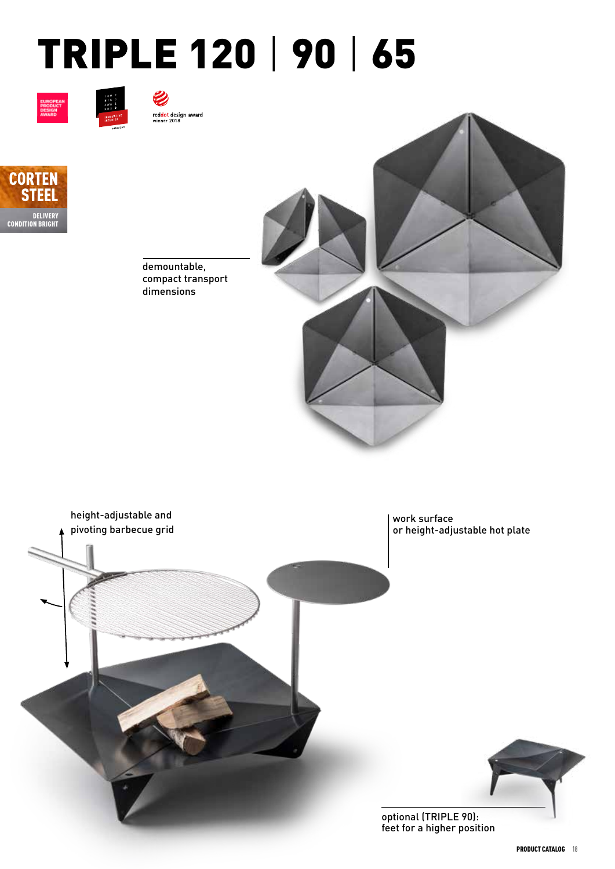## TRIPLE 120 | 90 | 65







V